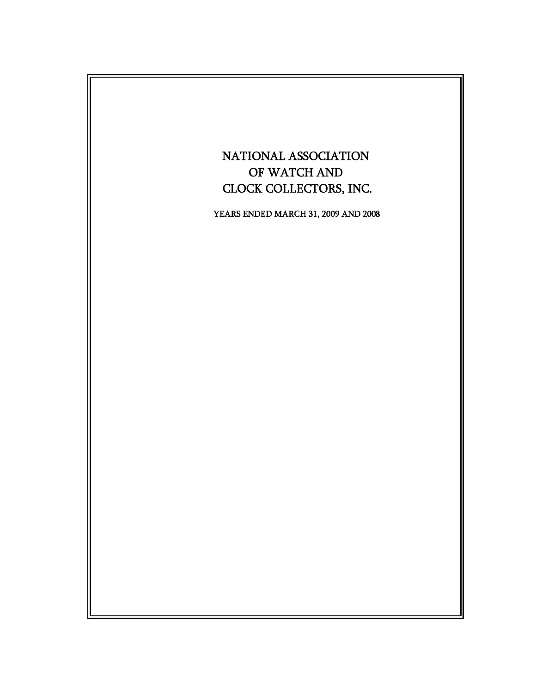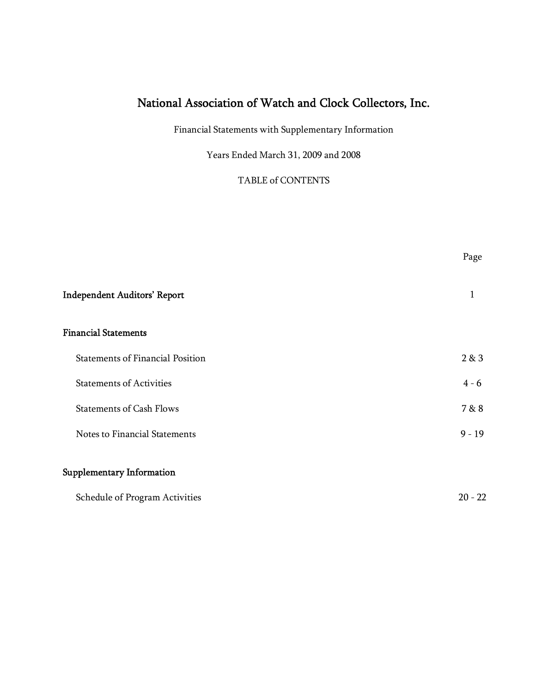Financial Statements with Supplementary Information

Years Ended March 31, 2009 and 2008

TABLE of CONTENTS

Page

| <b>Independent Auditors' Report</b>     |           |
|-----------------------------------------|-----------|
| <b>Financial Statements</b>             |           |
| <b>Statements of Financial Position</b> | 2 & 3     |
| <b>Statements of Activities</b>         | $4 - 6$   |
| <b>Statements of Cash Flows</b>         | 7 & 8     |
| Notes to Financial Statements           | $9 - 19$  |
| Supplementary Information               |           |
| Schedule of Program Activities          | $20 - 22$ |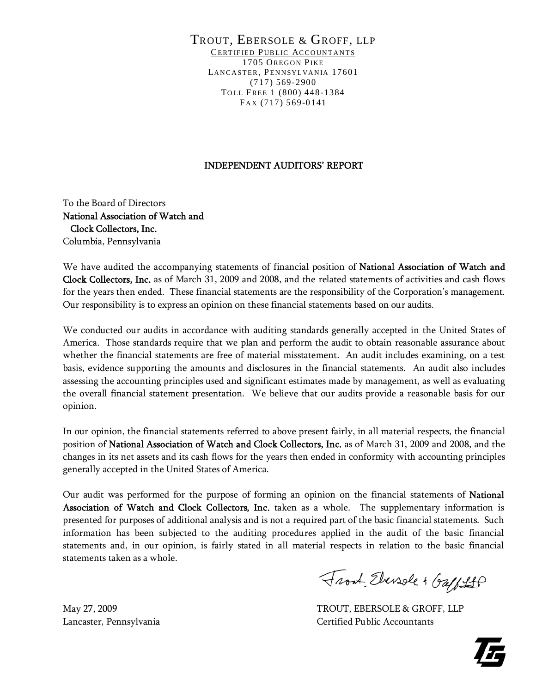#### TROUT, EBERSOLE & GROFF, LLP CERTIFIED PUBLIC ACCOUNTANTS 1705 OREGON PIKE LANCASTER, PENNSYLVANIA 17601 (717) 569-2900 TOLL FREE 1 (800) 448-1384 FAX (717) 569-0141

#### INDEPENDENT AUDITORS' REPORT

To the Board of Directors National Association of Watch and Clock Collectors, Inc. Columbia, Pennsylvania

We have audited the accompanying statements of financial position of National Association of Watch and Clock Collectors, Inc. as of March 31, 2009 and 2008, and the related statements of activities and cash flows for the years then ended. These financial statements are the responsibility of the Corporation's management. Our responsibility is to express an opinion on these financial statements based on our audits.

We conducted our audits in accordance with auditing standards generally accepted in the United States of America. Those standards require that we plan and perform the audit to obtain reasonable assurance about whether the financial statements are free of material misstatement. An audit includes examining, on a test basis, evidence supporting the amounts and disclosures in the financial statements. An audit also includes assessing the accounting principles used and significant estimates made by management, as well as evaluating the overall financial statement presentation. We believe that our audits provide a reasonable basis for our opinion.

In our opinion, the financial statements referred to above present fairly, in all material respects, the financial position of National Association of Watch and Clock Collectors, Inc. as of March 31, 2009 and 2008, and the changes in its net assets and its cash flows for the years then ended in conformity with accounting principles generally accepted in the United States of America.

Our audit was performed for the purpose of forming an opinion on the financial statements of National Association of Watch and Clock Collectors, Inc. taken as a whole. The supplementary information is presented for purposes of additional analysis and is not a required part of the basic financial statements. Such information has been subjected to the auditing procedures applied in the audit of the basic financial statements and, in our opinion, is fairly stated in all material respects in relation to the basic financial statements taken as a whole.

Front Elevable & Gaff St

May 27, 2009 TROUT, EBERSOLE & GROFF, LLP Lancaster, Pennsylvania Certified Public Accountants

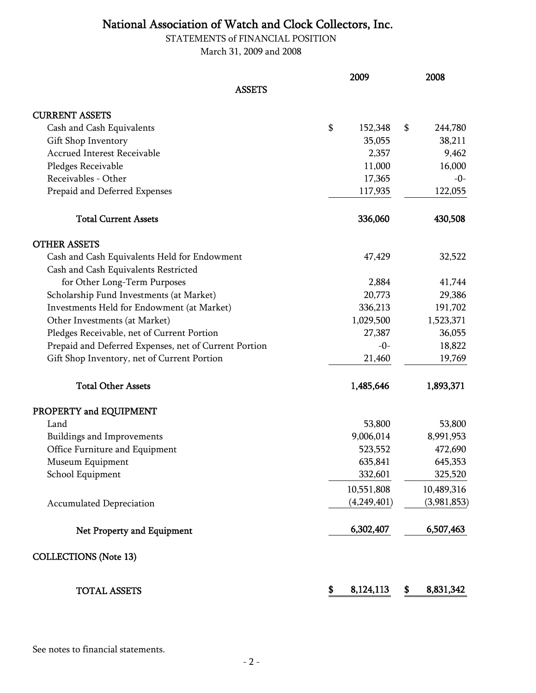STATEMENTS of FINANCIAL POSITION March 31, 2009 and 2008

|                                                       | 2009            | 2008            |
|-------------------------------------------------------|-----------------|-----------------|
| <b>ASSETS</b>                                         |                 |                 |
| <b>CURRENT ASSETS</b>                                 |                 |                 |
| Cash and Cash Equivalents                             | \$<br>152,348   | \$<br>244,780   |
| Gift Shop Inventory                                   | 35,055          | 38,211          |
| <b>Accrued Interest Receivable</b>                    | 2,357           | 9,462           |
| Pledges Receivable                                    | 11,000          | 16,000          |
| Receivables - Other                                   | 17,365          | $-0-$           |
| Prepaid and Deferred Expenses                         | 117,935         | 122,055         |
| <b>Total Current Assets</b>                           | 336,060         | 430,508         |
| <b>OTHER ASSETS</b>                                   |                 |                 |
| Cash and Cash Equivalents Held for Endowment          | 47,429          | 32,522          |
| Cash and Cash Equivalents Restricted                  |                 |                 |
| for Other Long-Term Purposes                          | 2,884           | 41,744          |
| Scholarship Fund Investments (at Market)              | 20,773          | 29,386          |
| Investments Held for Endowment (at Market)            | 336,213         | 191,702         |
| Other Investments (at Market)                         | 1,029,500       | 1,523,371       |
| Pledges Receivable, net of Current Portion            | 27,387          | 36,055          |
| Prepaid and Deferred Expenses, net of Current Portion | $-0-$           | 18,822          |
| Gift Shop Inventory, net of Current Portion           | 21,460          | 19,769          |
| <b>Total Other Assets</b>                             | 1,485,646       | 1,893,371       |
| PROPERTY and EQUIPMENT                                |                 |                 |
| Land                                                  | 53,800          | 53,800          |
| Buildings and Improvements                            | 9,006,014       | 8,991,953       |
| Office Furniture and Equipment                        | 523,552         | 472,690         |
| Museum Equipment                                      | 635,841         | 645,353         |
| School Equipment                                      | 332,601         | 325,520         |
|                                                       | 10,551,808      | 10,489,316      |
| <b>Accumulated Depreciation</b>                       | (4,249,401)     | (3,981,853)     |
| Net Property and Equipment                            | 6,302,407       | 6,507,463       |
| <b>COLLECTIONS</b> (Note 13)                          |                 |                 |
| <b>TOTAL ASSETS</b>                                   | \$<br>8,124,113 | \$<br>8,831,342 |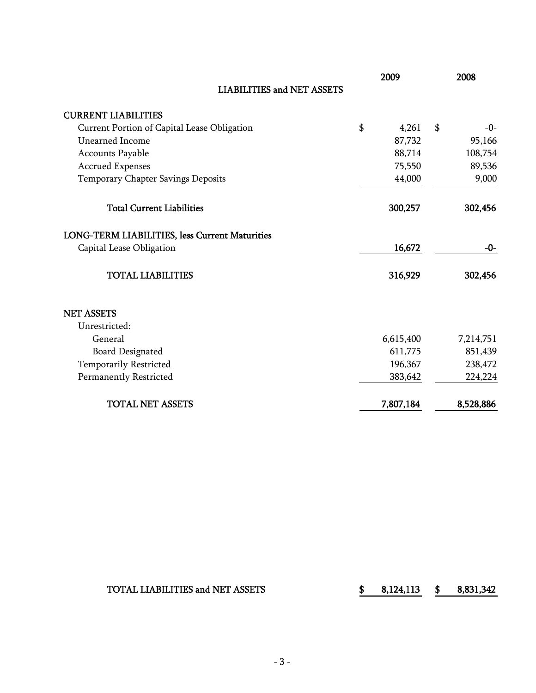|                                                | 2009        | 2008        |
|------------------------------------------------|-------------|-------------|
| <b>LIABILITIES and NET ASSETS</b>              |             |             |
| <b>CURRENT LIABILITIES</b>                     |             |             |
| Current Portion of Capital Lease Obligation    | \$<br>4,261 | \$<br>$-0-$ |
| Unearned Income                                | 87,732      | 95,166      |
| <b>Accounts Payable</b>                        | 88,714      | 108,754     |
| <b>Accrued Expenses</b>                        | 75,550      | 89,536      |
| Temporary Chapter Savings Deposits             | 44,000      | 9,000       |
| <b>Total Current Liabilities</b>               | 300,257     | 302,456     |
| LONG-TERM LIABILITIES, less Current Maturities |             |             |
| Capital Lease Obligation                       | 16,672      | -0-         |
| <b>TOTAL LIABILITIES</b>                       | 316,929     | 302,456     |
| <b>NET ASSETS</b>                              |             |             |
| Unrestricted:                                  |             |             |
| General                                        | 6,615,400   | 7,214,751   |
| <b>Board Designated</b>                        | 611,775     | 851,439     |
| Temporarily Restricted                         | 196,367     | 238,472     |
| <b>Permanently Restricted</b>                  | 383,642     | 224,224     |
| <b>TOTAL NET ASSETS</b>                        | 7,807,184   | 8,528,886   |

### TOTAL LIABILITIES and NET ASSETS  $$8,124,113 $8,831,342$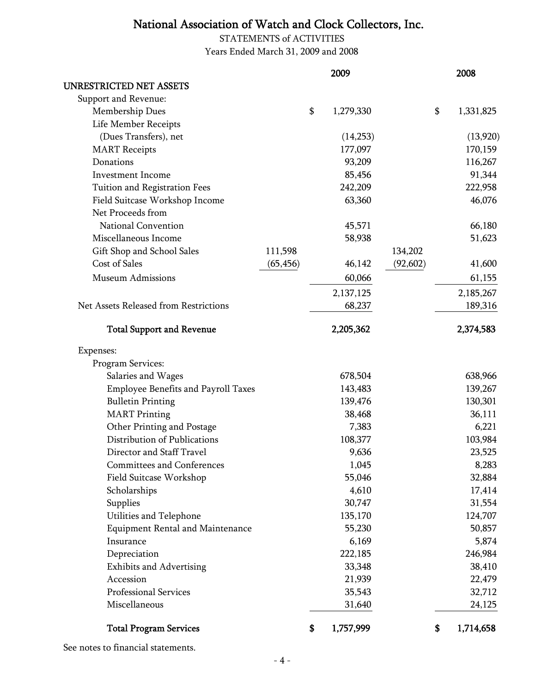STATEMENTS of ACTIVITIES Years Ended March 31, 2009 and 2008

|                                            |           | 2009            |           | 2008            |
|--------------------------------------------|-----------|-----------------|-----------|-----------------|
| UNRESTRICTED NET ASSETS                    |           |                 |           |                 |
| Support and Revenue:                       |           |                 |           |                 |
| Membership Dues                            |           | \$<br>1,279,330 |           | \$<br>1,331,825 |
| Life Member Receipts                       |           |                 |           |                 |
| (Dues Transfers), net                      |           | (14,253)        |           | (13,920)        |
| <b>MART</b> Receipts                       |           | 177,097         |           | 170,159         |
| Donations                                  |           | 93,209          |           | 116,267         |
| <b>Investment Income</b>                   |           | 85,456          |           | 91,344          |
| Tuition and Registration Fees              |           | 242,209         |           | 222,958         |
| Field Suitcase Workshop Income             |           | 63,360          |           | 46,076          |
| Net Proceeds from                          |           |                 |           |                 |
| National Convention                        |           | 45,571          |           | 66,180          |
| Miscellaneous Income                       |           | 58,938          |           | 51,623          |
| Gift Shop and School Sales                 | 111,598   |                 | 134,202   |                 |
| <b>Cost of Sales</b>                       | (65, 456) | 46,142          | (92, 602) | 41,600          |
| <b>Museum Admissions</b>                   |           | 60,066          |           | 61,155          |
|                                            |           | 2,137,125       |           | 2,185,267       |
| Net Assets Released from Restrictions      |           | 68,237          |           | 189,316         |
| <b>Total Support and Revenue</b>           |           | 2,205,362       |           | 2,374,583       |
| Expenses:                                  |           |                 |           |                 |
| Program Services:                          |           |                 |           |                 |
| Salaries and Wages                         |           | 678,504         |           | 638,966         |
| <b>Employee Benefits and Payroll Taxes</b> |           | 143,483         |           | 139,267         |
| <b>Bulletin Printing</b>                   |           | 139,476         |           | 130,301         |
| <b>MART</b> Printing                       |           | 38,468          |           | 36,111          |
| Other Printing and Postage                 |           | 7,383           |           | 6,221           |
| Distribution of Publications               |           | 108,377         |           | 103,984         |
| Director and Staff Travel                  |           | 9,636           |           | 23,525          |
| <b>Committees and Conferences</b>          |           | 1,045           |           | 8,283           |
| Field Suitcase Workshop                    |           | 55,046          |           | 32,884          |
| Scholarships                               |           | 4,610           |           | 17,414          |
| Supplies                                   |           | 30,747          |           | 31,554          |
| Utilities and Telephone                    |           | 135,170         |           | 124,707         |
| <b>Equipment Rental and Maintenance</b>    |           | 55,230          |           | 50,857          |
| Insurance                                  |           | 6,169           |           | 5,874           |
| Depreciation                               |           | 222,185         |           | 246,984         |
| <b>Exhibits and Advertising</b>            |           | 33,348          |           | 38,410          |
| Accession                                  |           | 21,939          |           | 22,479          |
| Professional Services                      |           | 35,543          |           | 32,712          |
| Miscellaneous                              |           | 31,640          |           | 24,125          |
| <b>Total Program Services</b>              |           | \$<br>1,757,999 |           | \$<br>1,714,658 |

See notes to financial statements.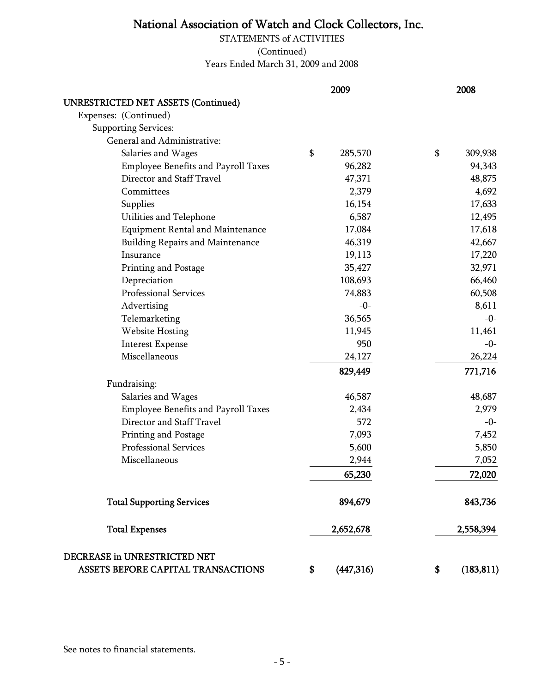STATEMENTS of ACTIVITIES (Continued) Years Ended March 31, 2009 and 2008

|                                                                    | 2009             | 2008             |
|--------------------------------------------------------------------|------------------|------------------|
| <b>UNRESTRICTED NET ASSETS (Continued)</b>                         |                  |                  |
| Expenses: (Continued)                                              |                  |                  |
| <b>Supporting Services:</b>                                        |                  |                  |
| General and Administrative:                                        |                  |                  |
| Salaries and Wages                                                 | \$<br>285,570    | \$<br>309,938    |
| Employee Benefits and Payroll Taxes                                | 96,282           | 94,343           |
| Director and Staff Travel                                          | 47,371           | 48,875           |
| Committees                                                         | 2,379            | 4,692            |
| Supplies                                                           | 16,154           | 17,633           |
| Utilities and Telephone                                            | 6,587            | 12,495           |
| <b>Equipment Rental and Maintenance</b>                            | 17,084           | 17,618           |
| Building Repairs and Maintenance                                   | 46,319           | 42,667           |
| Insurance                                                          | 19,113           | 17,220           |
| Printing and Postage                                               | 35,427           | 32,971           |
| Depreciation                                                       | 108,693          | 66,460           |
| Professional Services                                              | 74,883           | 60,508           |
| Advertising                                                        |                  | $-0-$<br>8,611   |
| Telemarketing                                                      | 36,565           | $-0-$            |
| <b>Website Hosting</b>                                             | 11,945           | 11,461           |
| <b>Interest Expense</b>                                            | 950              | $-0-$            |
| Miscellaneous                                                      | 24,127           | 26,224           |
|                                                                    | 829,449          | 771,716          |
| Fundraising:                                                       |                  |                  |
| Salaries and Wages                                                 | 46,587           | 48,687           |
| <b>Employee Benefits and Payroll Taxes</b>                         | 2,434            | 2,979            |
| Director and Staff Travel                                          | 572              | $-0-$            |
| Printing and Postage                                               | 7,093            | 7,452            |
| <b>Professional Services</b>                                       | 5,600            | 5,850            |
| Miscellaneous                                                      | 2,944            | 7,052            |
|                                                                    | 65,230           | 72,020           |
| <b>Total Supporting Services</b>                                   | 894,679          | 843,736          |
|                                                                    |                  |                  |
| <b>Total Expenses</b>                                              | 2,652,678        | 2,558,394        |
| DECREASE in UNRESTRICTED NET<br>ASSETS BEFORE CAPITAL TRANSACTIONS | (447, 316)<br>\$ | (183, 811)<br>\$ |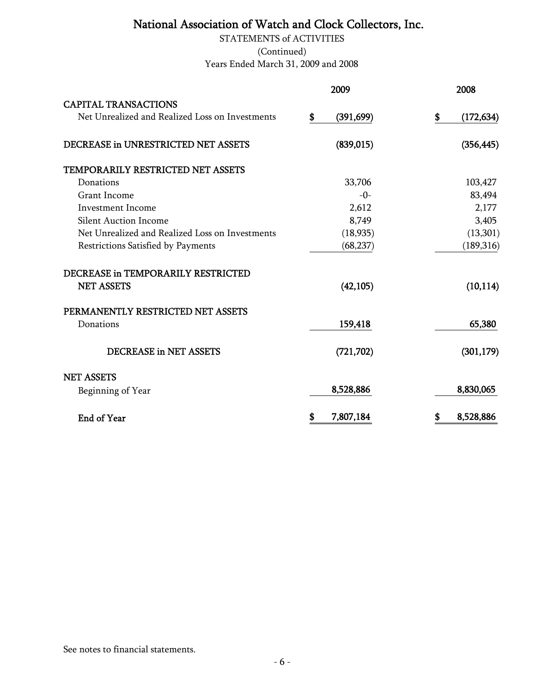Years Ended March 31, 2009 and 2008 STATEMENTS of ACTIVITIES (Continued)

|                                                 | 2009             | 2008             |
|-------------------------------------------------|------------------|------------------|
| <b>CAPITAL TRANSACTIONS</b>                     |                  |                  |
| Net Unrealized and Realized Loss on Investments | \$<br>(391, 699) | \$<br>(172, 634) |
| DECREASE in UNRESTRICTED NET ASSETS             | (839, 015)       | (356, 445)       |
| TEMPORARILY RESTRICTED NET ASSETS               |                  |                  |
| Donations                                       | 33,706           | 103,427          |
| <b>Grant Income</b>                             | $-0-$            | 83,494           |
| <b>Investment Income</b>                        | 2,612            | 2,177            |
| <b>Silent Auction Income</b>                    | 8,749            | 3,405            |
| Net Unrealized and Realized Loss on Investments | (18, 935)        | (13,301)         |
| Restrictions Satisfied by Payments              | (68, 237)        | (189, 316)       |
| DECREASE in TEMPORARILY RESTRICTED              |                  |                  |
| <b>NET ASSETS</b>                               | (42, 105)        | (10, 114)        |
| PERMANENTLY RESTRICTED NET ASSETS               |                  |                  |
| Donations                                       | 159,418          | 65,380           |
| <b>DECREASE in NET ASSETS</b>                   | (721, 702)       | (301, 179)       |
| <b>NET ASSETS</b>                               |                  |                  |
| Beginning of Year                               | 8,528,886        | 8,830,065        |
| <b>End of Year</b>                              | \$<br>7,807,184  | \$<br>8,528,886  |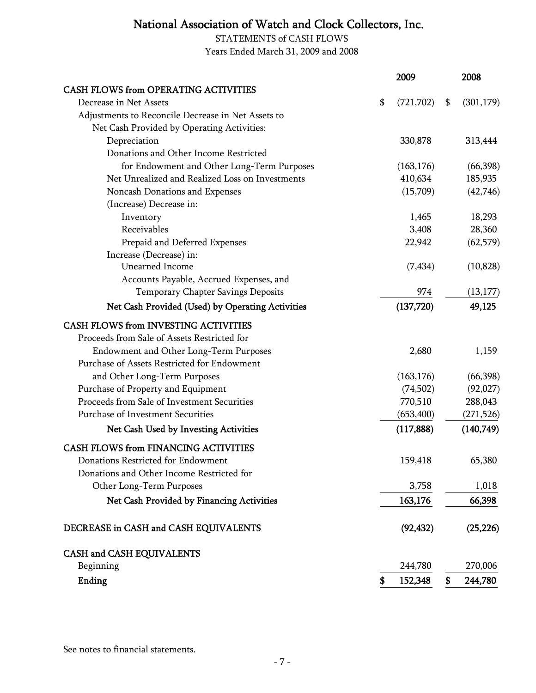STATEMENTS of CASH FLOWS Years Ended March 31, 2009 and 2008

|                                                    | 2009             | 2008             |
|----------------------------------------------------|------------------|------------------|
| <b>CASH FLOWS from OPERATING ACTIVITIES</b>        |                  |                  |
| Decrease in Net Assets                             | \$<br>(721, 702) | \$<br>(301, 179) |
| Adjustments to Reconcile Decrease in Net Assets to |                  |                  |
| Net Cash Provided by Operating Activities:         |                  |                  |
| Depreciation                                       | 330,878          | 313,444          |
| Donations and Other Income Restricted              |                  |                  |
| for Endowment and Other Long-Term Purposes         | (163, 176)       | (66, 398)        |
| Net Unrealized and Realized Loss on Investments    | 410,634          | 185,935          |
| Noncash Donations and Expenses                     | (15,709)         | (42,746)         |
| (Increase) Decrease in:                            |                  |                  |
| Inventory                                          | 1,465            | 18,293           |
| Receivables                                        | 3,408            | 28,360           |
| Prepaid and Deferred Expenses                      | 22,942           | (62, 579)        |
| Increase (Decrease) in:                            |                  |                  |
| <b>Unearned Income</b>                             | (7, 434)         | (10, 828)        |
| Accounts Payable, Accrued Expenses, and            |                  |                  |
| Temporary Chapter Savings Deposits                 | 974              | (13, 177)        |
| Net Cash Provided (Used) by Operating Activities   | (137, 720)       | 49,125           |
| <b>CASH FLOWS from INVESTING ACTIVITIES</b>        |                  |                  |
| Proceeds from Sale of Assets Restricted for        |                  |                  |
| Endowment and Other Long-Term Purposes             | 2,680            | 1,159            |
| Purchase of Assets Restricted for Endowment        |                  |                  |
| and Other Long-Term Purposes                       | (163, 176)       | (66, 398)        |
| Purchase of Property and Equipment                 | (74,502)         | (92,027)         |
| Proceeds from Sale of Investment Securities        | 770,510          | 288,043          |
| Purchase of Investment Securities                  | (653, 400)       | (271, 526)       |
| <b>Net Cash Used by Investing Activities</b>       | (117, 888)       | (140,749)        |
| <b>CASH FLOWS from FINANCING ACTIVITIES</b>        |                  |                  |
| Donations Restricted for Endowment                 | 159,418          | 65,380           |
| Donations and Other Income Restricted for          |                  |                  |
| Other Long-Term Purposes                           | 3,758            | 1,018            |
| Net Cash Provided by Financing Activities          | 163,176          | 66,398           |
| DECREASE in CASH and CASH EQUIVALENTS              | (92, 432)        | (25, 226)        |
| CASH and CASH EQUIVALENTS                          |                  |                  |
| Beginning                                          | 244,780          | 270,006          |
| Ending                                             | \$<br>152,348    | \$<br>244,780    |

See notes to financial statements.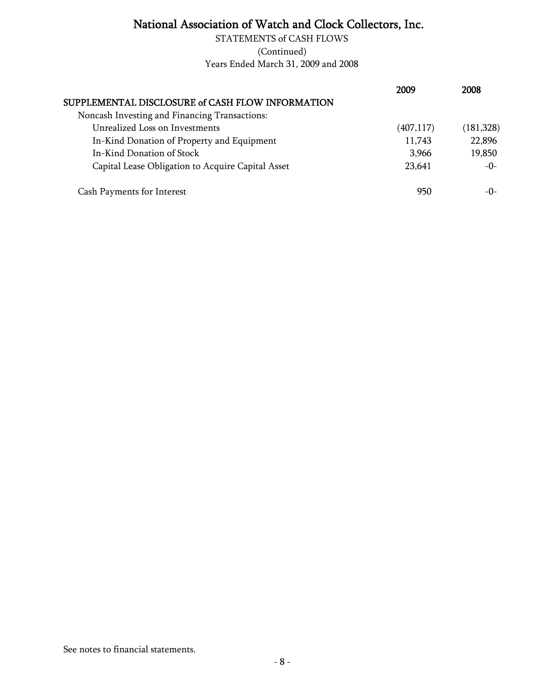(Continued) Years Ended March 31, 2009 and 2008 STATEMENTS of CASH FLOWS

|                                                   | 2009       | 2008       |
|---------------------------------------------------|------------|------------|
| SUPPLEMENTAL DISCLOSURE of CASH FLOW INFORMATION  |            |            |
| Noncash Investing and Financing Transactions:     |            |            |
| Unrealized Loss on Investments                    | (407, 117) | (181, 328) |
| In-Kind Donation of Property and Equipment        | 11,743     | 22,896     |
| In-Kind Donation of Stock                         | 3,966      | 19,850     |
| Capital Lease Obligation to Acquire Capital Asset | 23,641     | $-0-$      |
| <b>Cash Payments for Interest</b>                 | 950        | $-()$      |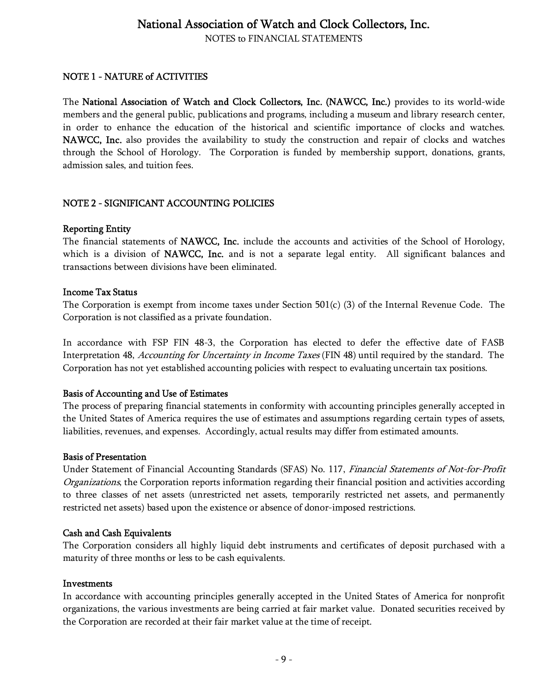NOTES to FINANCIAL STATEMENTS

#### NOTE 1 - NATURE of ACTIVITIES

The National Association of Watch and Clock Collectors, Inc. (NAWCC, Inc.) provides to its world-wide members and the general public, publications and programs, including a museum and library research center, in order to enhance the education of the historical and scientific importance of clocks and watches. NAWCC, Inc. also provides the availability to study the construction and repair of clocks and watches through the School of Horology. The Corporation is funded by membership support, donations, grants, admission sales, and tuition fees.

#### NOTE 2 - SIGNIFICANT ACCOUNTING POLICIES

#### Reporting Entity

The financial statements of NAWCC, Inc. include the accounts and activities of the School of Horology, which is a division of NAWCC, Inc. and is not a separate legal entity. All significant balances and transactions between divisions have been eliminated.

#### Income Tax Status

The Corporation is exempt from income taxes under Section 501(c) (3) of the Internal Revenue Code. The Corporation is not classified as a private foundation.

In accordance with FSP FIN 48-3, the Corporation has elected to defer the effective date of FASB Interpretation 48, Accounting for Uncertainty in Income Taxes (FIN 48) until required by the standard. The Corporation has not yet established accounting policies with respect to evaluating uncertain tax positions.

#### Basis of Accounting and Use of Estimates

The process of preparing financial statements in conformity with accounting principles generally accepted in the United States of America requires the use of estimates and assumptions regarding certain types of assets, liabilities, revenues, and expenses. Accordingly, actual results may differ from estimated amounts.

#### Basis of Presentation

Under Statement of Financial Accounting Standards (SFAS) No. 117, Financial Statements of Not-for-Profit Organizations, the Corporation reports information regarding their financial position and activities according to three classes of net assets (unrestricted net assets, temporarily restricted net assets, and permanently restricted net assets) based upon the existence or absence of donor-imposed restrictions.

#### Cash and Cash Equivalents

The Corporation considers all highly liquid debt instruments and certificates of deposit purchased with a maturity of three months or less to be cash equivalents.

#### Investments

In accordance with accounting principles generally accepted in the United States of America for nonprofit organizations, the various investments are being carried at fair market value. Donated securities received by the Corporation are recorded at their fair market value at the time of receipt.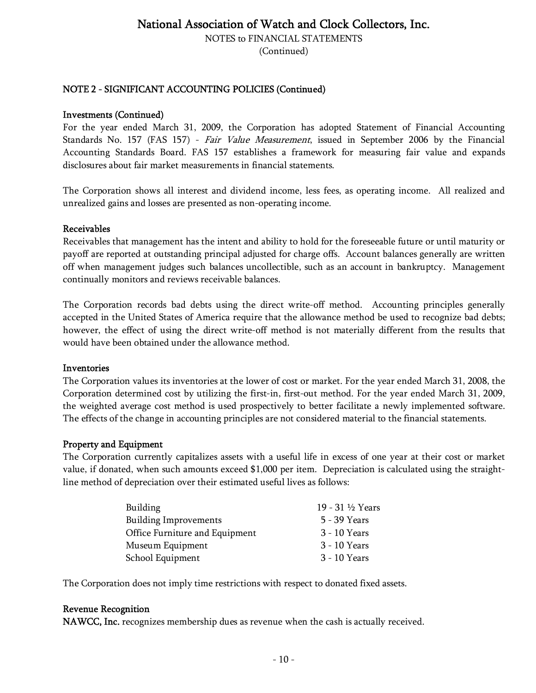NOTES to FINANCIAL STATEMENTS

(Continued)

#### NOTE 2 - SIGNIFICANT ACCOUNTING POLICIES (Continued)

#### Investments (Continued)

For the year ended March 31, 2009, the Corporation has adopted Statement of Financial Accounting Standards No. 157 (FAS 157) - Fair Value Measurement, issued in September 2006 by the Financial Accounting Standards Board. FAS 157 establishes a framework for measuring fair value and expands disclosures about fair market measurements in financial statements.

The Corporation shows all interest and dividend income, less fees, as operating income. All realized and unrealized gains and losses are presented as non-operating income.

#### Receivables

Receivables that management has the intent and ability to hold for the foreseeable future or until maturity or payoff are reported at outstanding principal adjusted for charge offs. Account balances generally are written off when management judges such balances uncollectible, such as an account in bankruptcy. Management continually monitors and reviews receivable balances.

The Corporation records bad debts using the direct write-off method. Accounting principles generally accepted in the United States of America require that the allowance method be used to recognize bad debts; however, the effect of using the direct write-off method is not materially different from the results that would have been obtained under the allowance method.

#### Inventories

The Corporation values its inventories at the lower of cost or market. For the year ended March 31, 2008, the Corporation determined cost by utilizing the first-in, first-out method. For the year ended March 31, 2009, the weighted average cost method is used prospectively to better facilitate a newly implemented software. The effects of the change in accounting principles are not considered material to the financial statements.

#### Property and Equipment

The Corporation currently capitalizes assets with a useful life in excess of one year at their cost or market value, if donated, when such amounts exceed \$1,000 per item. Depreciation is calculated using the straightline method of depreciation over their estimated useful lives as follows:

| Building                       | 19 - 31 ½ Years |
|--------------------------------|-----------------|
| <b>Building Improvements</b>   | 5 - 39 Years    |
| Office Furniture and Equipment | 3 - 10 Years    |
| Museum Equipment               | 3 - 10 Years    |
| School Equipment               | 3 - 10 Years    |

The Corporation does not imply time restrictions with respect to donated fixed assets.

#### Revenue Recognition

NAWCC, Inc. recognizes membership dues as revenue when the cash is actually received.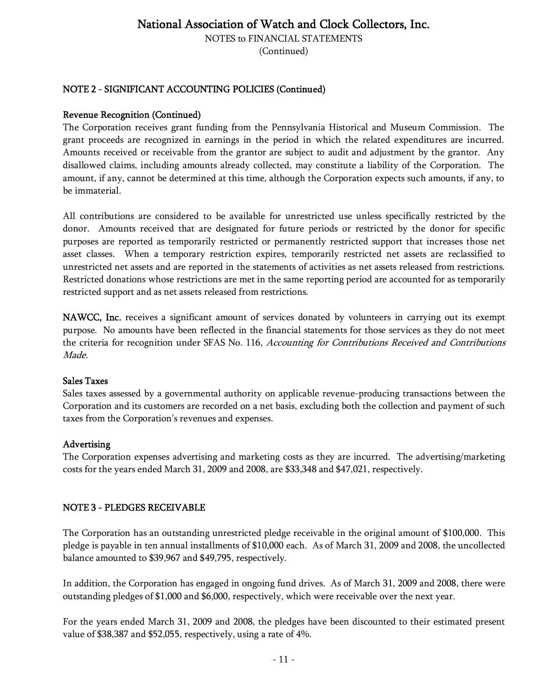NOTES to FINANCIAL STATEMENTS

(Continued)

### NOTE 2 - SIGNIFICANT ACCOUNTING POLICIES (Continued)

#### Revenue Recognition (Continued)

The Corporation receives grant funding from the Pennsylvania Historical and Museum Commission. The grant proceeds are recognized in earnings in the period in which the related expenditures are incurred. Amounts received or receivable from the grantor are subject to audit and adjustment by the grantor. Any disallowed claims, including amounts already collected, may constitute a liability of the Corporation. The amount, if any, cannot be determined at this time, although the Corporation expects such amounts, if any, to be immaterial.

All contributions are considered to be available for unrestricted use unless specifically restricted by the donor. Amounts received that are designated for future periods or restricted by the donor for specific purposes are reported as temporarily restricted or permanently restricted support that increases those net asset classes. When a temporary restriction expires, temporarily restricted net assets are reclassified to unrestricted net assets and are reported in the statements of activities as net assets released from restrictions. Restricted donations whose restrictions are met in the same reporting period are accounted for as temporarily restricted support and as net assets released from restrictions.

NAWCC, Inc. receives a significant amount of services donated by volunteers in carrying out its exempt purpose. No amounts have been reflected in the financial statements for those services as they do not meet the criteria for recognition under SFAS No. 116, Accounting for Contributions Received and Contributions Made.

#### Sales Taxes

Sales taxes assessed by a governmental authority on applicable revenue-producing transactions between the Corporation and its customers are recorded on a net basis, excluding both the collection and payment of such taxes from the Corporation's revenues and expenses.

#### Advertising

The Corporation expenses advertising and marketing costs as they are incurred. The advertising/marketing costs for the years ended March 31, 2009 and 2008, are \$33,348 and \$47,021, respectively.

### NOTE 3 - PLEDGES RECEIVABLE

The Corporation has an outstanding unrestricted pledge receivable in the original amount of \$100,000. This pledge is payable in ten annual installments of \$10,000 each. As of March 31, 2009 and 2008, the uncollected balance amounted to \$39,967 and \$49,795, respectively.

In addition, the Corporation has engaged in ongoing fund drives. As of March 31, 2009 and 2008, there were outstanding pledges of \$1,000 and \$6,000, respectively, which were receivable over the next year.

For the years ended March 31, 2009 and 2008, the pledges have been discounted to their estimated present value of \$38,387 and \$52,055, respectively, using a rate of 4%.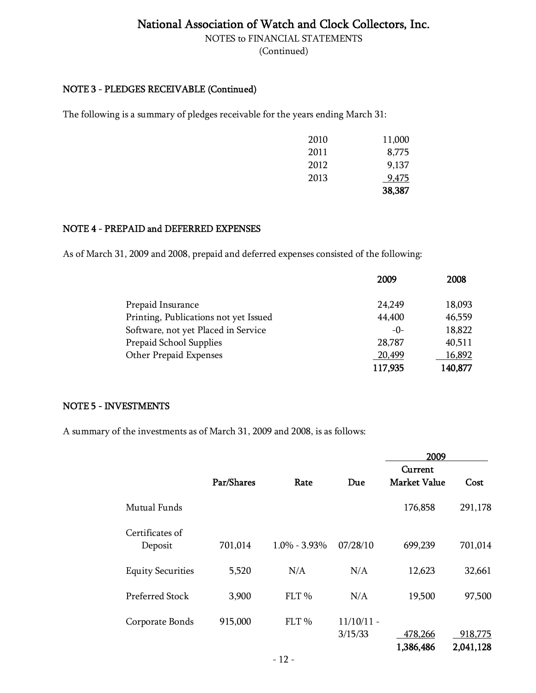NOTES to FINANCIAL STATEMENTS

(Continued)

#### NOTE 3 - PLEDGES RECEIVABLE (Continued)

The following is a summary of pledges receivable for the years ending March 31:

|      | 9,475<br>38,387 |
|------|-----------------|
| 2013 |                 |
| 2012 | 9,137           |
| 2011 | 8,775           |
| 2010 | 11,000          |

#### NOTE 4 - PREPAID and DEFERRED EXPENSES

As of March 31, 2009 and 2008, prepaid and deferred expenses consisted of the following:

|                                       | 2009    | 2008    |
|---------------------------------------|---------|---------|
| Prepaid Insurance                     | 24,249  | 18,093  |
| Printing, Publications not yet Issued | 44,400  | 46,559  |
| Software, not yet Placed in Service   | $-0-$   | 18,822  |
| Prepaid School Supplies               | 28,787  | 40,511  |
| Other Prepaid Expenses                | 20,499  | 16,892  |
|                                       | 117,935 | 140,877 |

#### NOTE 5 - INVESTMENTS

A summary of the investments as of March 31, 2009 and 2008, is as follows:

|                            |            |                  |                         | 2009                           |                      |
|----------------------------|------------|------------------|-------------------------|--------------------------------|----------------------|
|                            | Par/Shares | Rate             | Due                     | Current<br><b>Market Value</b> | Cost                 |
| Mutual Funds               |            |                  |                         | 176,858                        | 291,178              |
| Certificates of<br>Deposit | 701,014    | $1.0\% - 3.93\%$ | 07/28/10                | 699,239                        | 701,014              |
| <b>Equity Securities</b>   | 5,520      | N/A              | N/A                     | 12,623                         | 32,661               |
| Preferred Stock            | 3,900      | FLT <sub>%</sub> | N/A                     | 19,500                         | 97,500               |
| Corporate Bonds            | 915,000    | FLT%             | $11/10/11 -$<br>3/15/33 | 478,266<br>1,386,486           | 918,775<br>2,041,128 |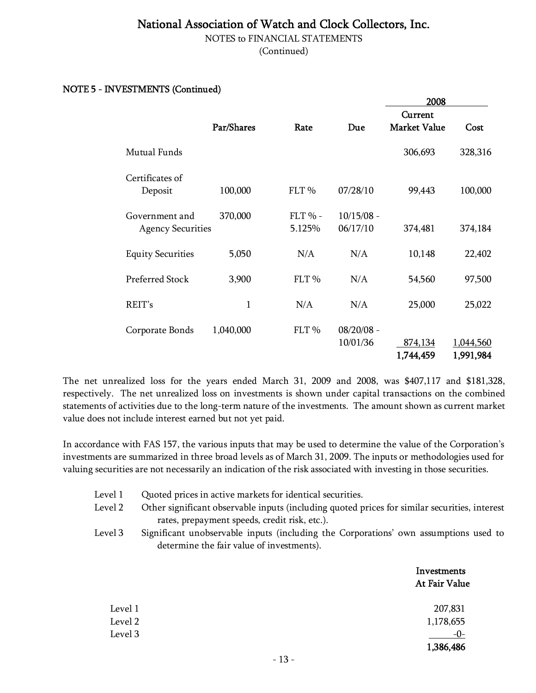NOTES to FINANCIAL STATEMENTS

(Continued)

#### NOTE 5 - INVESTMENTS (Continued)

|                                            |              |                     |                          | 2008                           |                        |
|--------------------------------------------|--------------|---------------------|--------------------------|--------------------------------|------------------------|
|                                            | Par/Shares   | Rate                | Due                      | Current<br><b>Market Value</b> | Cost                   |
| Mutual Funds                               |              |                     |                          | 306,693                        | 328,316                |
| Certificates of<br>Deposit                 | 100,000      | FLT %               | 07/28/10                 | 99,443                         | 100,000                |
| Government and<br><b>Agency Securities</b> | 370,000      | $FLT$ % -<br>5.125% | $10/15/08 -$<br>06/17/10 | 374,481                        | 374,184                |
| <b>Equity Securities</b>                   | 5,050        | N/A                 | N/A                      | 10,148                         | 22,402                 |
| <b>Preferred Stock</b>                     | 3,900        | FLT <sub>%</sub>    | N/A                      | 54,560                         | 97,500                 |
| REIT's                                     | $\mathbf{1}$ | N/A                 | N/A                      | 25,000                         | 25,022                 |
| Corporate Bonds                            | 1,040,000    | FLT %               | $08/20/08 -$<br>10/01/36 | 874,134<br>1,744,459           | 1,044,560<br>1,991,984 |

The net unrealized loss for the years ended March 31, 2009 and 2008, was \$407,117 and \$181,328, respectively. The net unrealized loss on investments is shown under capital transactions on the combined statements of activities due to the long-term nature of the investments. The amount shown as current market value does not include interest earned but not yet paid.

In accordance with FAS 157, the various inputs that may be used to determine the value of the Corporation's investments are summarized in three broad levels as of March 31, 2009. The inputs or methodologies used for valuing securities are not necessarily an indication of the risk associated with investing in those securities.

| Level 1 | Quoted prices in active markets for identical securities.                                     |
|---------|-----------------------------------------------------------------------------------------------|
| Level 2 | Other significant observable inputs (including quoted prices for similar securities, interest |

- rates, prepayment speeds, credit risk, etc.).
- Level 3 Significant unobservable inputs (including the Corporations' own assumptions used to determine the fair value of investments).

|         | Investments<br>At Fair Value |
|---------|------------------------------|
| Level 1 | 207,831                      |
| Level 2 | 1,178,655                    |
| Level 3 | $-0-$                        |
|         | 1,386,486                    |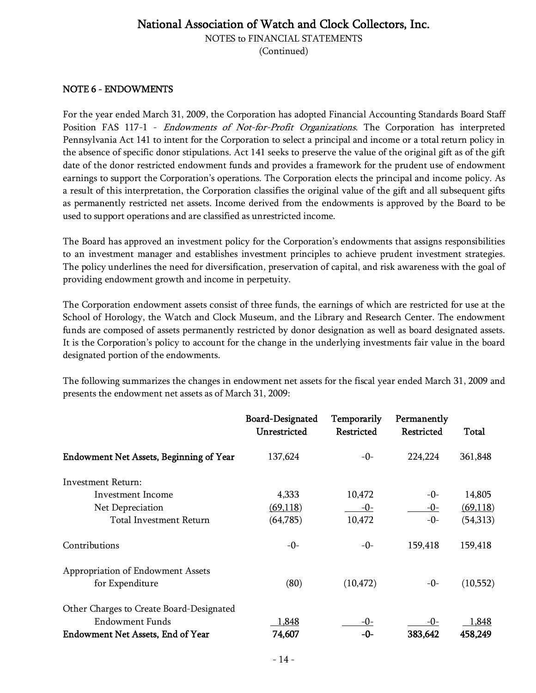NOTES to FINANCIAL STATEMENTS

(Continued)

#### NOTE 6 - ENDOWMENTS

For the year ended March 31, 2009, the Corporation has adopted Financial Accounting Standards Board Staff Position FAS 117-1 - *Endowments of Not-for-Profit Organizations*. The Corporation has interpreted Pennsylvania Act 141 to intent for the Corporation to select a principal and income or a total return policy in the absence of specific donor stipulations. Act 141 seeks to preserve the value of the original gift as of the gift date of the donor restricted endowment funds and provides a framework for the prudent use of endowment earnings to support the Corporation's operations. The Corporation elects the principal and income policy. As a result of this interpretation, the Corporation classifies the original value of the gift and all subsequent gifts as permanently restricted net assets. Income derived from the endowments is approved by the Board to be used to support operations and are classified as unrestricted income.

The Board has approved an investment policy for the Corporation's endowments that assigns responsibilities to an investment manager and establishes investment principles to achieve prudent investment strategies. The policy underlines the need for diversification, preservation of capital, and risk awareness with the goal of providing endowment growth and income in perpetuity.

The Corporation endowment assets consist of three funds, the earnings of which are restricted for use at the School of Horology, the Watch and Clock Museum, and the Library and Research Center. The endowment funds are composed of assets permanently restricted by donor designation as well as board designated assets. It is the Corporation's policy to account for the change in the underlying investments fair value in the board designated portion of the endowments.

The following summarizes the changes in endowment net assets for the fiscal year ended March 31, 2009 and presents the endowment net assets as of March 31, 2009:

|                                                                                                                | <b>Board-Designated</b><br>Unrestricted | Temporarily<br>Restricted | Permanently<br>Restricted | Total            |
|----------------------------------------------------------------------------------------------------------------|-----------------------------------------|---------------------------|---------------------------|------------------|
| <b>Endowment Net Assets, Beginning of Year</b>                                                                 | 137,624                                 | $-0-$                     | 224,224                   | 361,848          |
| Investment Return:                                                                                             |                                         |                           |                           |                  |
| Investment Income                                                                                              | 4,333                                   | 10,472                    | $-0-$                     | 14,805           |
| Net Depreciation                                                                                               | (69, 118)                               | -0-                       | $-0-$                     | (69,118)         |
| Total Investment Return                                                                                        | (64,785)                                | 10,472                    | $-0-$                     | (54,313)         |
| Contributions                                                                                                  | $-0-$                                   | -0-                       | 159,418                   | 159,418          |
| Appropriation of Endowment Assets<br>for Expenditure                                                           | (80)                                    | (10, 472)                 | -0-                       | (10,552)         |
| Other Charges to Create Board-Designated<br><b>Endowment Funds</b><br><b>Endowment Net Assets, End of Year</b> | 1,848<br>74,607                         | -0-<br>-0-                | -0-<br>383,642            | 1,848<br>458,249 |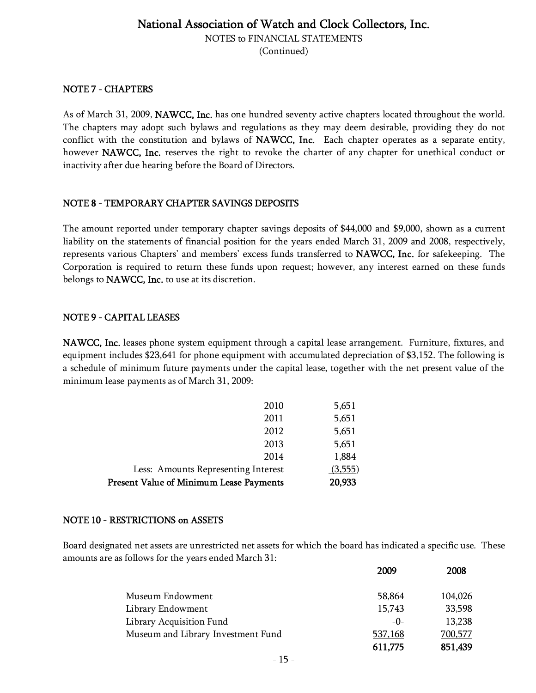NOTES to FINANCIAL STATEMENTS

(Continued)

#### NOTE 7 - CHAPTERS

As of March 31, 2009, NAWCC, Inc. has one hundred seventy active chapters located throughout the world. The chapters may adopt such bylaws and regulations as they may deem desirable, providing they do not conflict with the constitution and bylaws of NAWCC, Inc. Each chapter operates as a separate entity, however NAWCC, Inc. reserves the right to revoke the charter of any chapter for unethical conduct or inactivity after due hearing before the Board of Directors.

#### NOTE 8 - TEMPORARY CHAPTER SAVINGS DEPOSITS

The amount reported under temporary chapter savings deposits of \$44,000 and \$9,000, shown as a current liability on the statements of financial position for the years ended March 31, 2009 and 2008, respectively, represents various Chapters' and members' excess funds transferred to NAWCC, Inc. for safekeeping. The Corporation is required to return these funds upon request; however, any interest earned on these funds belongs to NAWCC, Inc. to use at its discretion.

#### NOTE 9 - CAPITAL LEASES

NAWCC, Inc. leases phone system equipment through a capital lease arrangement. Furniture, fixtures, and equipment includes \$23,641 for phone equipment with accumulated depreciation of \$3,152. The following is a schedule of minimum future payments under the capital lease, together with the net present value of the minimum lease payments as of March 31, 2009:

| Present Value of Minimum Lease Payments | 20,933  |
|-----------------------------------------|---------|
| Less: Amounts Representing Interest     | (3,555) |
| 2014                                    | 1,884   |
| 2013                                    | 5,651   |
| 2012                                    | 5,651   |
| 2011                                    | 5,651   |
| 2010                                    | 5,651   |

#### NOTE 10 - RESTRICTIONS on ASSETS

Board designated net assets are unrestricted net assets for which the board has indicated a specific use. These amounts are as follows for the years ended March 31:

|                                    | 2009    | 2008    |
|------------------------------------|---------|---------|
| Museum Endowment                   | 58,864  | 104,026 |
| Library Endowment                  | 15,743  | 33,598  |
| Library Acquisition Fund           | $-0-$   | 13,238  |
| Museum and Library Investment Fund | 537,168 | 700,577 |
|                                    | 611,775 | 851,439 |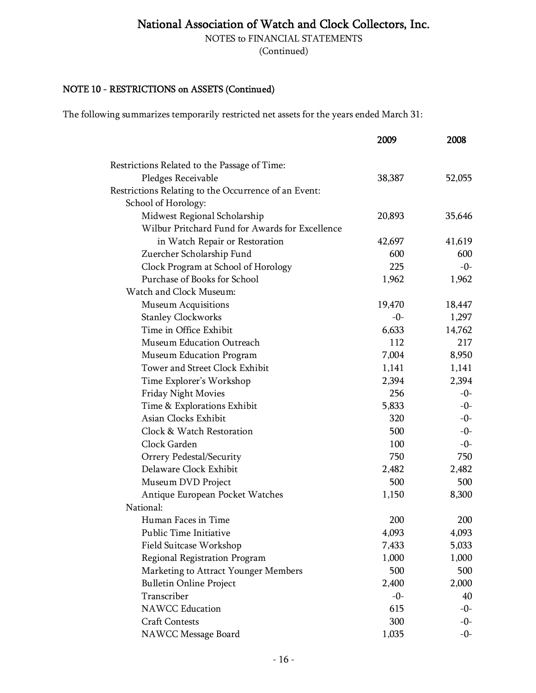NOTES to FINANCIAL STATEMENTS

(Continued)

### NOTE 10 - RESTRICTIONS on ASSETS (Continued)

The following summarizes temporarily restricted net assets for the years ended March 31:

|                                                      | 2009   | 2008   |
|------------------------------------------------------|--------|--------|
| Restrictions Related to the Passage of Time:         |        |        |
| Pledges Receivable                                   | 38,387 | 52,055 |
| Restrictions Relating to the Occurrence of an Event: |        |        |
| School of Horology:                                  |        |        |
| Midwest Regional Scholarship                         | 20,893 | 35,646 |
| Wilbur Pritchard Fund for Awards for Excellence      |        |        |
| in Watch Repair or Restoration                       | 42,697 | 41,619 |
| Zuercher Scholarship Fund                            | 600    | 600    |
| Clock Program at School of Horology                  | 225    | $-0-$  |
| Purchase of Books for School                         | 1,962  | 1,962  |
| Watch and Clock Museum:                              |        |        |
| <b>Museum Acquisitions</b>                           | 19,470 | 18,447 |
| <b>Stanley Clockworks</b>                            | $-0-$  | 1,297  |
| Time in Office Exhibit                               | 6,633  | 14,762 |
| Museum Education Outreach                            | 112    | 217    |
| Museum Education Program                             | 7,004  | 8,950  |
| Tower and Street Clock Exhibit                       | 1,141  | 1,141  |
| Time Explorer's Workshop                             | 2,394  | 2,394  |
| Friday Night Movies                                  | 256    | $-0-$  |
| Time & Explorations Exhibit                          | 5,833  | $-0-$  |
| Asian Clocks Exhibit                                 | 320    | $-0-$  |
| Clock & Watch Restoration                            | 500    | $-0-$  |
| Clock Garden                                         | 100    | $-0-$  |
| Orrery Pedestal/Security                             | 750    | 750    |
| Delaware Clock Exhibit                               | 2,482  | 2,482  |
| Museum DVD Project                                   | 500    | 500    |
| Antique European Pocket Watches                      | 1,150  | 8,300  |
| National:                                            |        |        |
| Human Faces in Time                                  | 200    | 200    |
| Public Time Initiative                               | 4,093  | 4,093  |
| Field Suitcase Workshop                              | 7,433  | 5,033  |
| Regional Registration Program                        | 1,000  | 1,000  |
| Marketing to Attract Younger Members                 | 500    | 500    |
| <b>Bulletin Online Project</b>                       | 2,400  | 2,000  |
| Transcriber                                          | $-0-$  | 40     |
| <b>NAWCC Education</b>                               | 615    | $-0-$  |
| <b>Craft Contests</b>                                | 300    | $-0-$  |
| NAWCC Message Board                                  | 1,035  | $-0-$  |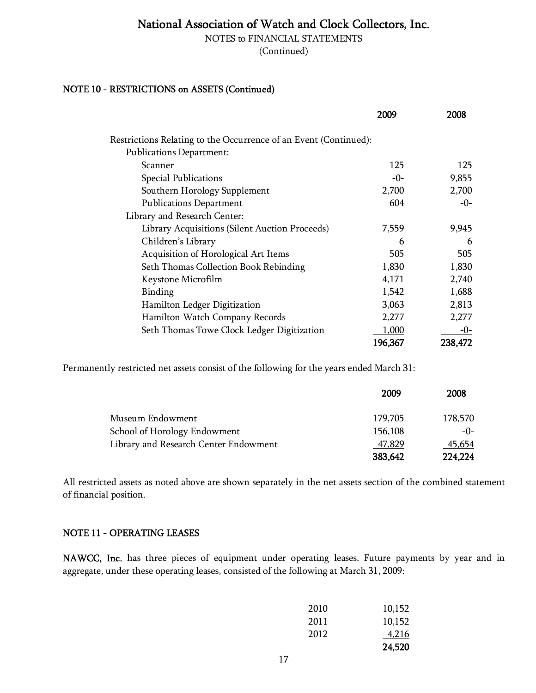NOTES to FINANCIAL STATEMENTS

(Continued)

### NOTE 10 - RESTRICTIONS on ASSETS (Continued)

|                                                                  | 2009    | 2008    |
|------------------------------------------------------------------|---------|---------|
| Restrictions Relating to the Occurrence of an Event (Continued): |         |         |
| <b>Publications Department:</b>                                  |         |         |
| Scanner                                                          | 125     | 125     |
| <b>Special Publications</b>                                      | -0-     | 9,855   |
| Southern Horology Supplement                                     | 2,700   | 2,700   |
| <b>Publications Department</b>                                   | 604     | $-0-$   |
| Library and Research Center:                                     |         |         |
| Library Acquisitions (Silent Auction Proceeds)                   | 7,559   | 9,945   |
| Children's Library                                               | 6       | 6       |
| Acquisition of Horological Art Items                             | 505     | 505     |
| Seth Thomas Collection Book Rebinding                            | 1,830   | 1,830   |
| Keystone Microfilm                                               | 4,171   | 2,740   |
| Binding                                                          | 1,542   | 1,688   |
| Hamilton Ledger Digitization                                     | 3,063   | 2,813   |
| Hamilton Watch Company Records                                   | 2,277   | 2,277   |
| Seth Thomas Towe Clock Ledger Digitization                       | 1,000   | $-0-$   |
|                                                                  | 196,367 | 238,472 |

Permanently restricted net assets consist of the following for the years ended March 31:

|                                       | 2009    | 2008    |
|---------------------------------------|---------|---------|
| Museum Endowment                      | 179,705 | 178,570 |
| School of Horology Endowment          | 156,108 | $-0$ -  |
| Library and Research Center Endowment | 47,829  | 45,654  |
|                                       | 383,642 | 224,224 |

All restricted assets as noted above are shown separately in the net assets section of the combined statement of financial position.

#### NOTE 11 - OPERATING LEASES

NAWCC, Inc. has three pieces of equipment under operating leases. Future payments by year and in aggregate, under these operating leases, consisted of the following at March 31, 2009:

| 2010 | 10,152 |
|------|--------|
| 2011 | 10,152 |
| 2012 | 4,216  |
|      | 24,520 |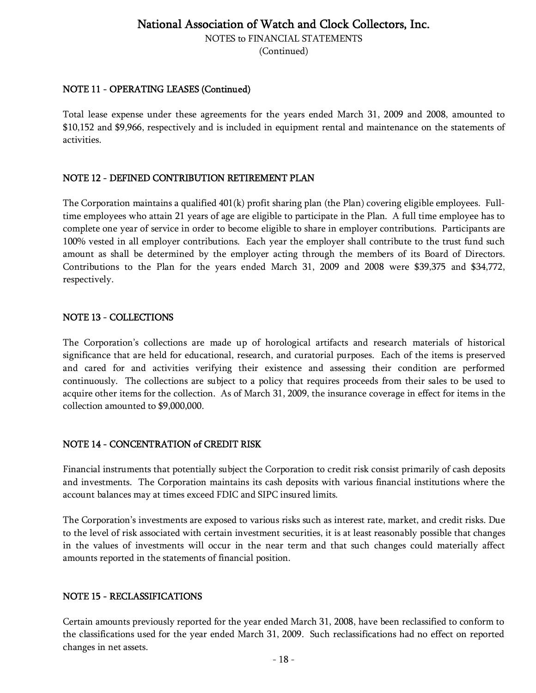NOTES to FINANCIAL STATEMENTS

(Continued)

### NOTE 11 - OPERATING LEASES (Continued)

Total lease expense under these agreements for the years ended March 31, 2009 and 2008, amounted to \$10,152 and \$9,966, respectively and is included in equipment rental and maintenance on the statements of activities.

#### NOTE 12 - DEFINED CONTRIBUTION RETIREMENT PLAN

The Corporation maintains a qualified 401(k) profit sharing plan (the Plan) covering eligible employees. Fulltime employees who attain 21 years of age are eligible to participate in the Plan. A full time employee has to complete one year of service in order to become eligible to share in employer contributions. Participants are 100% vested in all employer contributions. Each year the employer shall contribute to the trust fund such amount as shall be determined by the employer acting through the members of its Board of Directors. Contributions to the Plan for the years ended March 31, 2009 and 2008 were \$39,375 and \$34,772, respectively.

#### NOTE 13 - COLLECTIONS

The Corporation's collections are made up of horological artifacts and research materials of historical significance that are held for educational, research, and curatorial purposes. Each of the items is preserved and cared for and activities verifying their existence and assessing their condition are performed continuously. The collections are subject to a policy that requires proceeds from their sales to be used to acquire other items for the collection. As of March 31, 2009, the insurance coverage in effect for items in the collection amounted to \$9,000,000.

#### NOTE 14 - CONCENTRATION of CREDIT RISK

Financial instruments that potentially subject the Corporation to credit risk consist primarily of cash deposits and investments. The Corporation maintains its cash deposits with various financial institutions where the account balances may at times exceed FDIC and SIPC insured limits.

The Corporation's investments are exposed to various risks such as interest rate, market, and credit risks. Due to the level of risk associated with certain investment securities, it is at least reasonably possible that changes in the values of investments will occur in the near term and that such changes could materially affect amounts reported in the statements of financial position.

#### NOTE 15 - RECLASSIFICATIONS

Certain amounts previously reported for the year ended March 31, 2008, have been reclassified to conform to the classifications used for the year ended March 31, 2009. Such reclassifications had no effect on reported changes in net assets.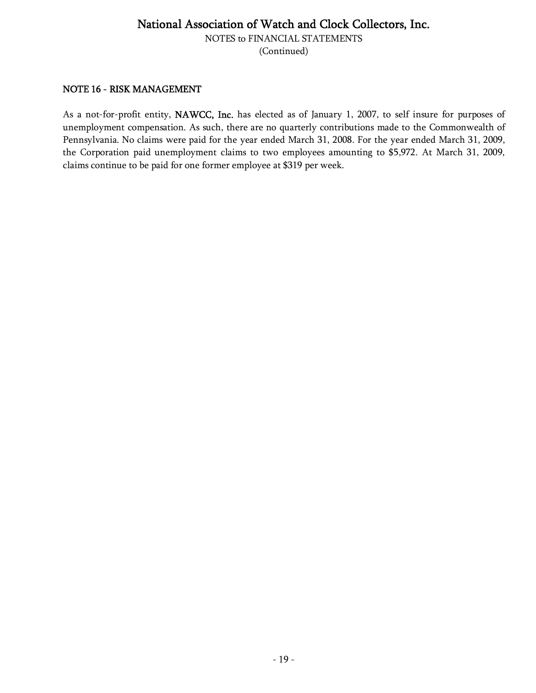NOTES to FINANCIAL STATEMENTS

(Continued)

#### NOTE 16 - RISK MANAGEMENT

As a not-for-profit entity, NAWCC, Inc. has elected as of January 1, 2007, to self insure for purposes of unemployment compensation. As such, there are no quarterly contributions made to the Commonwealth of Pennsylvania. No claims were paid for the year ended March 31, 2008. For the year ended March 31, 2009, the Corporation paid unemployment claims to two employees amounting to \$5,972. At March 31, 2009, claims continue to be paid for one former employee at \$319 per week.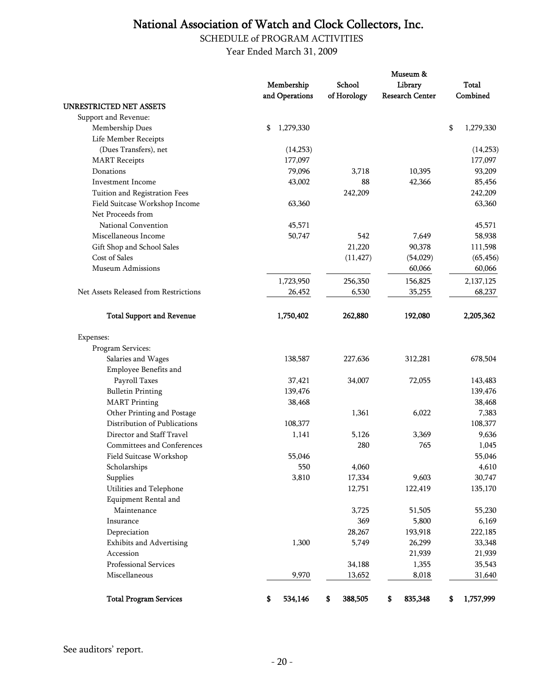SCHEDULE of PROGRAM ACTIVITIES

Year Ended March 31, 2009

|                                       |                 |               | Museum &               |                 |
|---------------------------------------|-----------------|---------------|------------------------|-----------------|
|                                       | Membership      | School        | Library                | <b>Total</b>    |
|                                       | and Operations  | of Horology   | <b>Research Center</b> | Combined        |
| <b>UNRESTRICTED NET ASSETS</b>        |                 |               |                        |                 |
| Support and Revenue:                  |                 |               |                        |                 |
| Membership Dues                       | 1,279,330<br>\$ |               |                        | \$<br>1,279,330 |
| Life Member Receipts                  |                 |               |                        |                 |
| (Dues Transfers), net                 | (14,253)        |               |                        | (14,253)        |
| <b>MART</b> Receipts                  | 177,097         |               |                        | 177,097         |
| Donations                             | 79,096          | 3,718         | 10,395                 | 93,209          |
| Investment Income                     | 43,002          | 88            | 42,366                 | 85,456          |
| Tuition and Registration Fees         |                 | 242,209       |                        | 242,209         |
| Field Suitcase Workshop Income        | 63,360          |               |                        | 63,360          |
| Net Proceeds from                     |                 |               |                        |                 |
| National Convention                   | 45,571          |               |                        | 45,571          |
| Miscellaneous Income                  | 50,747          | 542           | 7,649                  | 58,938          |
| Gift Shop and School Sales            |                 | 21,220        | 90,378                 | 111,598         |
| Cost of Sales                         |                 | (11, 427)     | (54, 029)              | (65, 456)       |
| <b>Museum Admissions</b>              |                 |               | 60,066                 | 60,066          |
|                                       | 1,723,950       | 256,350       | 156,825                | 2,137,125       |
| Net Assets Released from Restrictions | 26,452          | 6,530         | 35,255                 | 68,237          |
| <b>Total Support and Revenue</b>      | 1,750,402       | 262,880       | 192,080                | 2,205,362       |
| Expenses:                             |                 |               |                        |                 |
| Program Services:                     |                 |               |                        |                 |
| Salaries and Wages                    | 138,587         | 227,636       | 312,281                | 678,504         |
| Employee Benefits and                 |                 |               |                        |                 |
| Payroll Taxes                         | 37,421          | 34,007        | 72,055                 | 143,483         |
| <b>Bulletin Printing</b>              | 139,476         |               |                        | 139,476         |
| <b>MART</b> Printing                  | 38,468          |               |                        | 38,468          |
| Other Printing and Postage            |                 | 1,361         | 6,022                  | 7,383           |
| Distribution of Publications          | 108,377         |               |                        | 108,377         |
| Director and Staff Travel             | 1,141           | 5,126         | 3,369                  | 9,636           |
| Committees and Conferences            |                 | 280           | 765                    | 1,045           |
| Field Suitcase Workshop               | 55,046          |               |                        | 55,046          |
| Scholarships                          | 550             | 4,060         |                        | 4,610           |
| Supplies                              | 3,810           | 17,334        | 9,603                  | 30,747          |
| Utilities and Telephone               |                 | 12,751        | 122,419                | 135,170         |
| Equipment Rental and                  |                 |               |                        |                 |
| Maintenance                           |                 | 3,725         | 51,505                 | 55,230          |
| Insurance                             |                 | 369           | 5,800                  | 6,169           |
| Depreciation                          |                 | 28,267        | 193,918                | 222,185         |
| <b>Exhibits and Advertising</b>       | 1,300           | 5,749         | 26,299                 | 33,348          |
| Accession                             |                 |               | 21,939                 | 21,939          |
| Professional Services                 |                 | 34,188        | 1,355                  | 35,543          |
| Miscellaneous                         | 9,970           | 13,652        | 8,018                  | 31,640          |
| <b>Total Program Services</b>         | 534,146<br>\$   | 388,505<br>\$ | 835,348<br>\$          | \$<br>1,757,999 |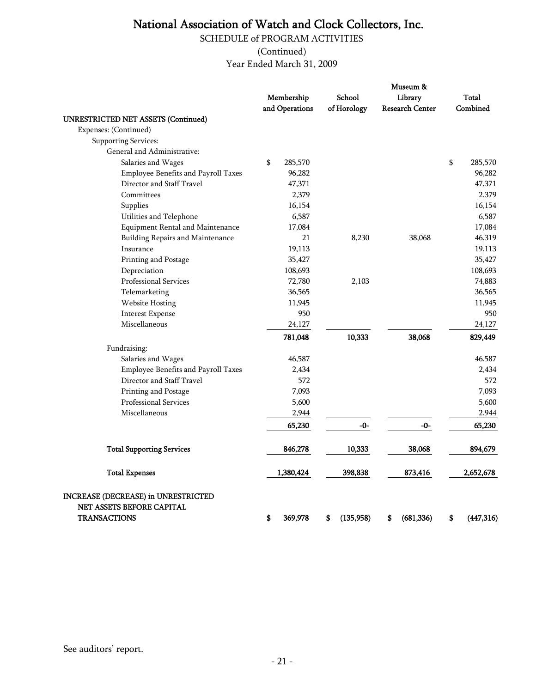SCHEDULE of PROGRAM ACTIVITIES

(Continued)

Year Ended March 31, 2009

| <b>UNRESTRICTED NET ASSETS (Continued)</b>                                              | Membership<br>and Operations | School<br>of Horology | Museum &<br>Library<br><b>Research Center</b> | Total<br>Combined |
|-----------------------------------------------------------------------------------------|------------------------------|-----------------------|-----------------------------------------------|-------------------|
| Expenses: (Continued)                                                                   |                              |                       |                                               |                   |
| <b>Supporting Services:</b>                                                             |                              |                       |                                               |                   |
| General and Administrative:                                                             |                              |                       |                                               |                   |
| Salaries and Wages                                                                      | \$<br>285,570                |                       |                                               | \$<br>285,570     |
| Employee Benefits and Payroll Taxes                                                     | 96,282                       |                       |                                               | 96,282            |
| Director and Staff Travel                                                               | 47,371                       |                       |                                               | 47,371            |
| Committees                                                                              | 2,379                        |                       |                                               | 2,379             |
| Supplies                                                                                | 16,154                       |                       |                                               | 16,154            |
| Utilities and Telephone                                                                 | 6,587                        |                       |                                               | 6,587             |
| Equipment Rental and Maintenance                                                        | 17,084                       |                       |                                               | 17,084            |
| Building Repairs and Maintenance                                                        | 21                           | 8,230                 | 38,068                                        | 46,319            |
| Insurance                                                                               | 19,113                       |                       |                                               | 19,113            |
| Printing and Postage                                                                    | 35,427                       |                       |                                               | 35,427            |
| Depreciation                                                                            | 108,693                      |                       |                                               | 108,693           |
| Professional Services                                                                   | 72,780                       | 2,103                 |                                               | 74,883            |
| Telemarketing                                                                           | 36,565                       |                       |                                               | 36,565            |
| Website Hosting                                                                         | 11,945                       |                       |                                               | 11,945            |
| <b>Interest Expense</b>                                                                 | 950                          |                       |                                               | 950               |
| Miscellaneous                                                                           | 24,127                       |                       |                                               | 24,127            |
|                                                                                         | 781,048                      | 10,333                | 38,068                                        | 829,449           |
| Fundraising:                                                                            |                              |                       |                                               |                   |
| Salaries and Wages                                                                      | 46,587                       |                       |                                               | 46,587            |
| Employee Benefits and Payroll Taxes                                                     | 2,434                        |                       |                                               | 2,434             |
| Director and Staff Travel                                                               | 572                          |                       |                                               | 572               |
| Printing and Postage                                                                    | 7,093                        |                       |                                               | 7,093             |
| Professional Services                                                                   | 5,600                        |                       |                                               | 5,600             |
| Miscellaneous                                                                           | 2,944                        |                       |                                               | 2,944             |
|                                                                                         | 65,230                       | -0-                   | -0-                                           | 65,230            |
| <b>Total Supporting Services</b>                                                        | 846,278                      | 10,333                | 38,068                                        | 894,679           |
| <b>Total Expenses</b>                                                                   | 1,380,424                    | 398,838               | 873,416                                       | 2,652,678         |
| INCREASE (DECREASE) in UNRESTRICTED<br>NET ASSETS BEFORE CAPITAL<br><b>TRANSACTIONS</b> | S<br>369,978                 | S<br>(135,958)        | (681, 336)<br>\$                              | S<br>(447, 316)   |